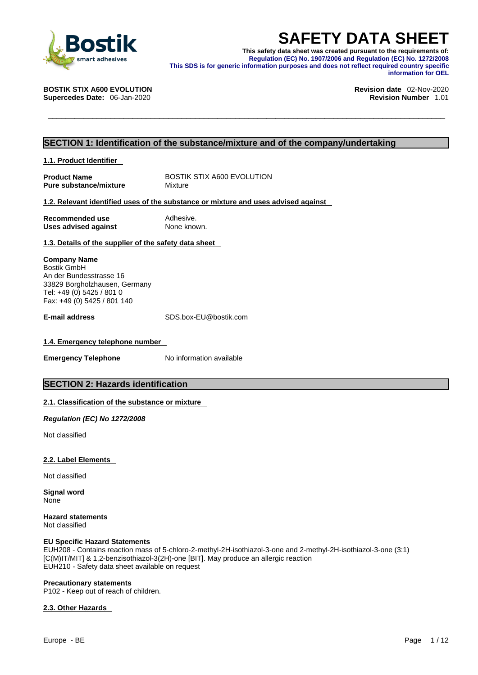

**SAFETY DATA SHEET**<br>
This safety data sheet was created pursuant to the requirements of:<br>
Regulation (EC) No. 1907/2006 and Regulation (EC) No. 1272/2008<br>
This SDS is for generic information purposes and does not reflect r **This safety data sheet was created pursuant to the requirements of: Regulation (EC) No. 1907/2006 and Regulation (EC) No. 1272/2008 This SDS is for generic information purposes and does not reflect required country specific information for OEL** 

**Supercedes Date: 06-Jan-2020** 

**BOSTIK STIX A600 EVOLUTION Revision date** 02-Nov-2020

### **SECTION 1: Identification of the substance/mixture and of the company/undertaking**

**1.1. Product Identifier** 

**Product Name** BOSTIK STIX A600 EVOLUTION<br> **Pure substance/mixture** Mixture **Pure substance/mixture** 

#### **1.2. Relevant identified uses of the substance or mixture and uses advised against**

| Recommended use             | Adhesive.   |
|-----------------------------|-------------|
| <b>Uses advised against</b> | None known. |

#### **1.3. Details of the supplier of the safety data sheet**

**Company Name** Bostik GmbH An der Bundesstrasse 16 33829 Borgholzhausen, Germany Tel: +49 (0) 5425 / 801 0 Fax: +49 (0) 5425 / 801 140

**E-mail address** SDS.box-EU@bostik.com

#### **1.4. Emergency telephone number**

**Emergency Telephone** No information available

### **SECTION 2: Hazards identification**

#### **2.1. Classification of the substance or mixture**

*Regulation (EC) No 1272/2008* 

Not classified

#### **2.2. Label Elements**

Not classified

**Signal word** None

**Hazard statements** Not classified

#### **EU Specific Hazard Statements**

EUH208 - Contains reaction mass of 5-chloro-2-methyl-2H-isothiazol-3-one and 2-methyl-2H-isothiazol-3-one (3:1) [C(M)IT/MIT] & 1,2-benzisothiazol-3(2H)-one [BIT]. May produce an allergic reaction EUH210 - Safety data sheet available on request

#### **Precautionary statements**

P102 - Keep out of reach of children.

#### **2.3. Other Hazards**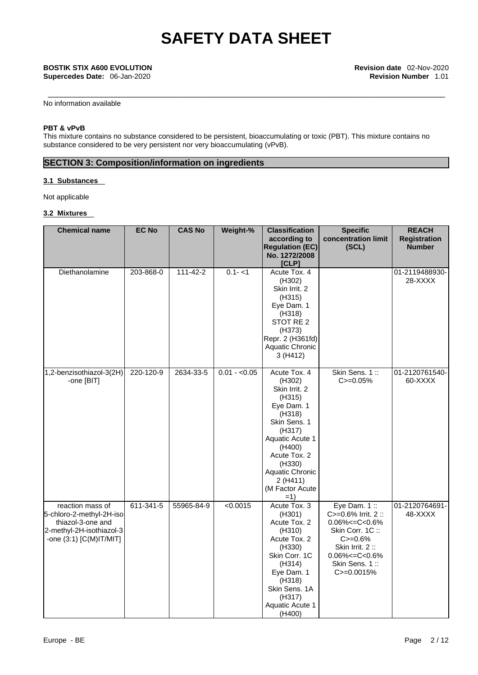No information available

#### **PBT & vPvB**

This mixture contains no substance considered to be persistent, bioaccumulating or toxic (PBT). This mixture contains no substance considered to be very persistent nor very bioaccumulating (vPvB).

### **SECTION 3: Composition/information on ingredients**

#### **3.1 Substances**

Not applicable

#### **3.2 Mixtures**

| <b>Chemical name</b>                                                                                                     | <b>EC No</b> | <b>CAS No</b>  | Weight-%      | <b>Classification</b><br>according to<br><b>Regulation (EC)</b><br>No. 1272/2008<br>[CLP]                                                                                                                            | <b>Specific</b><br>concentration limit<br>(SCL)                                                                                                                          | <b>REACH</b><br><b>Registration</b><br><b>Number</b> |
|--------------------------------------------------------------------------------------------------------------------------|--------------|----------------|---------------|----------------------------------------------------------------------------------------------------------------------------------------------------------------------------------------------------------------------|--------------------------------------------------------------------------------------------------------------------------------------------------------------------------|------------------------------------------------------|
| Diethanolamine                                                                                                           | 203-868-0    | $111 - 42 - 2$ | $0.1 - 1$     | Acute Tox. 4<br>(H302)<br>Skin Irrit. 2<br>(H315)<br>Eye Dam. 1<br>(H318)<br>STOT RE 2<br>(H373)<br>Repr. 2 (H361fd)<br>Aquatic Chronic<br>3(H412)                                                                   |                                                                                                                                                                          | 01-2119488930-<br>28-XXXX                            |
| 1,2-benzisothiazol-3(2H)<br>-one [BIT]                                                                                   | 220-120-9    | 2634-33-5      | $0.01 - 0.05$ | Acute Tox. 4<br>(H302)<br>Skin Irrit. 2<br>(H315)<br>Eye Dam. 1<br>(H318)<br>Skin Sens. 1<br>(H317)<br>Aquatic Acute 1<br>(H400)<br>Acute Tox. 2<br>(H330)<br>Aquatic Chronic<br>2(H411)<br>(M Factor Acute<br>$=1)$ | Skin Sens. 1::<br>$C = 0.05%$                                                                                                                                            | 01-2120761540-<br>60-XXXX                            |
| reaction mass of<br>5-chloro-2-methyl-2H-iso<br>thiazol-3-one and<br>2-methyl-2H-isothiazol-3<br>-one (3:1) [C(M)IT/MIT] | 611-341-5    | 55965-84-9     | < 0.0015      | Acute Tox. 3<br>(H301)<br>Acute Tox. 2<br>(H310)<br>Acute Tox. 2<br>(H330)<br>Skin Corr. 1C<br>(H314)<br>Eye Dam. 1<br>(H318)<br>Skin Sens. 1A<br>(H317)<br>Aquatic Acute 1<br>(H400)                                | Eye Dam. 1:<br>C>=0.6% Irrit. 2 ::<br>$0.06\% < = C < 0.6\%$<br>Skin Corr. 1C:<br>$C = 0.6%$<br>Skin Irrit. 2:<br>$0.06\% < = C < 0.6\%$<br>Skin Sens. 1::<br>C>=0.0015% | 01-2120764691-<br>48-XXXX                            |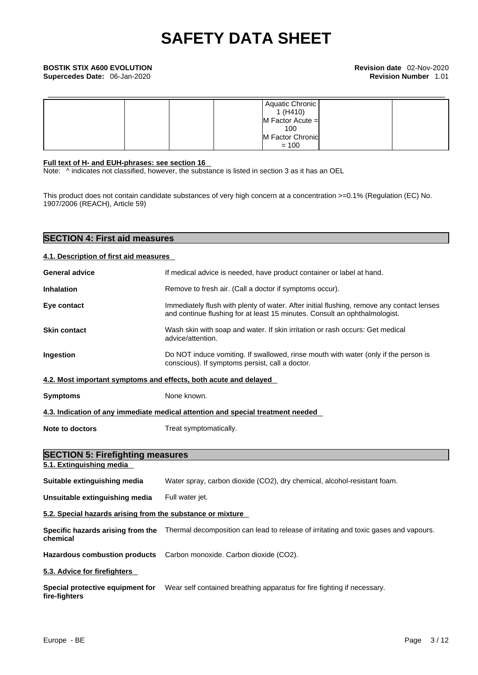|  | Aquatic Chronic      |  |
|--|----------------------|--|
|  | 1(H410)              |  |
|  | $M$ Factor Acute $=$ |  |
|  | 100                  |  |
|  | M Factor Chronic     |  |
|  | $= 100$              |  |

#### **Full text of H- and EUH-phrases: see section 16**

**SECTION 4: First aid measures** 

Note: ^ indicates not classified, however, the substance is listed in section 3 as it has an OEL

This product does not contain candidate substances of very high concern at a concentration >=0.1% (Regulation (EC) No. 1907/2006 (REACH), Article 59)

| 4.1. Description of first aid measures                           |                                                                                                                                                                         |
|------------------------------------------------------------------|-------------------------------------------------------------------------------------------------------------------------------------------------------------------------|
| <b>General advice</b>                                            | If medical advice is needed, have product container or label at hand.                                                                                                   |
| <b>Inhalation</b>                                                | Remove to fresh air. (Call a doctor if symptoms occur).                                                                                                                 |
| Eye contact                                                      | Immediately flush with plenty of water. After initial flushing, remove any contact lenses<br>and continue flushing for at least 15 minutes. Consult an ophthalmologist. |
| <b>Skin contact</b>                                              | Wash skin with soap and water. If skin irritation or rash occurs: Get medical<br>advice/attention.                                                                      |
| Ingestion                                                        | Do NOT induce vomiting. If swallowed, rinse mouth with water (only if the person is<br>conscious). If symptoms persist, call a doctor.                                  |
| 4.2. Most important symptoms and effects, both acute and delayed |                                                                                                                                                                         |
| <b>Symptoms</b>                                                  | None known.                                                                                                                                                             |
|                                                                  | 4.3. Indication of any immediate medical attention and special treatment needed                                                                                         |
| <b>Note to doctors</b>                                           | Treat symptomatically.                                                                                                                                                  |
| <b>SECTION 5: Firefighting measures</b>                          |                                                                                                                                                                         |
| 5.1. Extinguishing media                                         |                                                                                                                                                                         |
| Suitable extinguishing media                                     | Water spray, carbon dioxide (CO2), dry chemical, alcohol-resistant foam.                                                                                                |
| Unsuitable extinguishing media                                   | Full water jet.                                                                                                                                                         |
| 5.2. Special hazards arising from the substance or mixture       |                                                                                                                                                                         |
| chemical                                                         | Specific hazards arising from the Thermal decomposition can lead to release of irritating and toxic gases and vapours.                                                  |
| <b>Hazardous combustion products</b>                             | Carbon monoxide. Carbon dioxide (CO2).                                                                                                                                  |
| 5.3. Advice for firefighters                                     |                                                                                                                                                                         |
| Special protective equipment for<br>fire-fighters                | Wear self contained breathing apparatus for fire fighting if necessary.                                                                                                 |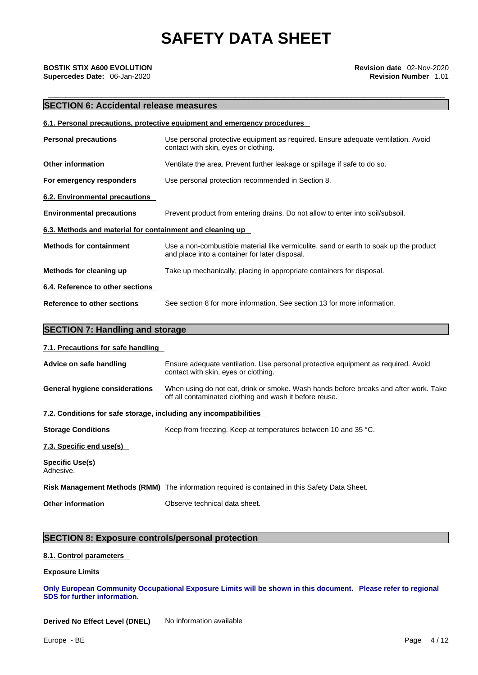### **SECTION 6: Accidental release measures**

|                                                           | 6.1. Personal precautions, protective equipment and emergency procedures                                                                |  |  |
|-----------------------------------------------------------|-----------------------------------------------------------------------------------------------------------------------------------------|--|--|
| <b>Personal precautions</b>                               | Use personal protective equipment as required. Ensure adequate ventilation. Avoid<br>contact with skin, eyes or clothing.               |  |  |
| <b>Other information</b>                                  | Ventilate the area. Prevent further leakage or spillage if safe to do so.                                                               |  |  |
| For emergency responders                                  | Use personal protection recommended in Section 8.                                                                                       |  |  |
| 6.2. Environmental precautions                            |                                                                                                                                         |  |  |
| <b>Environmental precautions</b>                          | Prevent product from entering drains. Do not allow to enter into soil/subsoil.                                                          |  |  |
| 6.3. Methods and material for containment and cleaning up |                                                                                                                                         |  |  |
| <b>Methods for containment</b>                            | Use a non-combustible material like vermiculite, sand or earth to soak up the product<br>and place into a container for later disposal. |  |  |
| Methods for cleaning up                                   | Take up mechanically, placing in appropriate containers for disposal.                                                                   |  |  |
| 6.4. Reference to other sections                          |                                                                                                                                         |  |  |
| <b>Reference to other sections</b>                        | See section 8 for more information. See section 13 for more information.                                                                |  |  |

#### **7.1. Precautions for safe handling**

| Advice on safe handling                                           | Ensure adequate ventilation. Use personal protective equipment as required. Avoid<br>contact with skin, eyes or clothing.                       |
|-------------------------------------------------------------------|-------------------------------------------------------------------------------------------------------------------------------------------------|
| <b>General hygiene considerations</b>                             | When using do not eat, drink or smoke. Wash hands before breaks and after work. Take<br>off all contaminated clothing and wash it before reuse. |
| 7.2. Conditions for safe storage, including any incompatibilities |                                                                                                                                                 |
| <b>Storage Conditions</b>                                         | Keep from freezing. Keep at temperatures between 10 and 35 °C.                                                                                  |
| 7.3. Specific end use(s)                                          |                                                                                                                                                 |
| <b>Specific Use(s)</b><br>Adhesive.                               |                                                                                                                                                 |
|                                                                   | Risk Management Methods (RMM) The information required is contained in this Safety Data Sheet.                                                  |
| <b>Other information</b>                                          | Observe technical data sheet.                                                                                                                   |

### **SECTION 8: Exposure controls/personal protection**

#### **8.1. Control parameters**

#### **Exposure Limits**

**Only European Community Occupational Exposure Limits will be shown in this document. Please refer to regional SDS for further information.** 

**Derived No Effect Level (DNEL)** No information available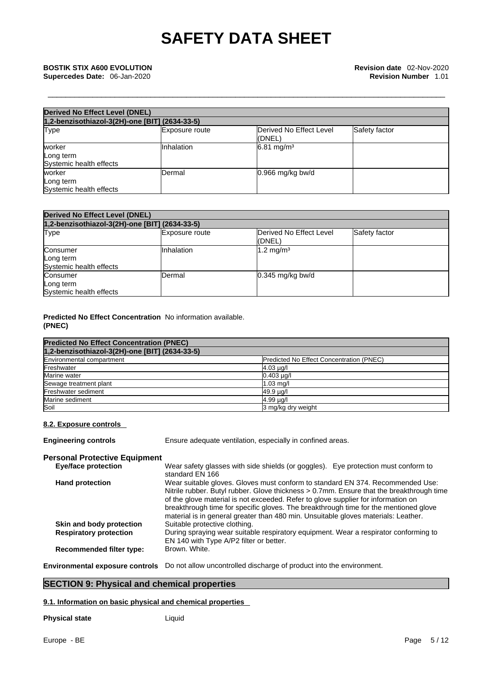| <b>Derived No Effect Level (DNEL)</b><br>1,2-benzisothiazol-3(2H)-one [BIT] (2634-33-5) |                |                       |  |  |
|-----------------------------------------------------------------------------------------|----------------|-----------------------|--|--|
|                                                                                         |                |                       |  |  |
| worker<br>Long term<br>Systemic health effects                                          | Inhalation     | $6.81 \text{ mg/m}^3$ |  |  |
| worker<br>Long term<br>Systemic health effects                                          | <b>IDermal</b> | $0.966$ mg/kg bw/d    |  |  |

| <b>Derived No Effect Level (DNEL)</b>            |                |                                   |               |  |
|--------------------------------------------------|----------------|-----------------------------------|---------------|--|
| 1,2-benzisothiazol-3(2H)-one [BIT] (2634-33-5)   |                |                                   |               |  |
| <b>Type</b>                                      | Exposure route | Derived No Effect Level<br>(DNEL) | Safety factor |  |
| Consumer<br>Long term<br>Systemic health effects | Inhalation     | $1.2 \text{ mg/m}^3$              |               |  |
| Consumer<br>Long term<br>Systemic health effects | Dermal         | $0.345$ mg/kg bw/d                |               |  |

#### **Predicted No Effect Concentration** No information available. **(PNEC)**

| <b>Predicted No Effect Concentration (PNEC)</b> |                                          |
|-------------------------------------------------|------------------------------------------|
| 1,2-benzisothiazol-3(2H)-one [BIT] (2634-33-5)  |                                          |
| Environmental compartment                       | Predicted No Effect Concentration (PNEC) |
| Freshwater                                      | $4.03 \mu q$                             |
| Marine water                                    | $0.403$ $\mu$ g/l                        |
| Sewage treatment plant                          | $1.03$ mg/                               |
| Freshwater sediment                             | 49.9 µg/l                                |
| Marine sediment                                 | 4.99 µg/l                                |
| Soil                                            | 3 mg/kg dry weight                       |

#### **8.2. Exposure controls**

**Engineering controls** Ensure adequate ventilation, especially in confined areas.

| <b>Personal Protective Equipment</b> |                                                                                                                                                                                                                                                                                                                                                                                                                                               |
|--------------------------------------|-----------------------------------------------------------------------------------------------------------------------------------------------------------------------------------------------------------------------------------------------------------------------------------------------------------------------------------------------------------------------------------------------------------------------------------------------|
| <b>Eye/face protection</b>           | Wear safety glasses with side shields (or goggles). Eye protection must conform to<br>standard EN 166                                                                                                                                                                                                                                                                                                                                         |
| <b>Hand protection</b>               | Wear suitable gloves. Gloves must conform to standard EN 374. Recommended Use:<br>Nitrile rubber. Butyl rubber. Glove thickness > 0.7mm. Ensure that the breakthrough time<br>of the glove material is not exceeded. Refer to glove supplier for information on<br>breakthrough time for specific gloves. The breakthrough time for the mentioned glove<br>material is in general greater than 480 min. Unsuitable gloves materials: Leather. |
| Skin and body protection             | Suitable protective clothing.                                                                                                                                                                                                                                                                                                                                                                                                                 |
| <b>Respiratory protection</b>        | During spraying wear suitable respiratory equipment. Wear a respirator conforming to<br>EN 140 with Type A/P2 filter or better.                                                                                                                                                                                                                                                                                                               |
| <b>Recommended filter type:</b>      | Brown, White.                                                                                                                                                                                                                                                                                                                                                                                                                                 |
|                                      | Environmental exposure controls Do not allow uncontrolled discharge of product into the environment.                                                                                                                                                                                                                                                                                                                                          |

### **SECTION 9: Physical and chemical properties**

#### **9.1. Information on basic physical and chemical properties**

**Physical state** Liquid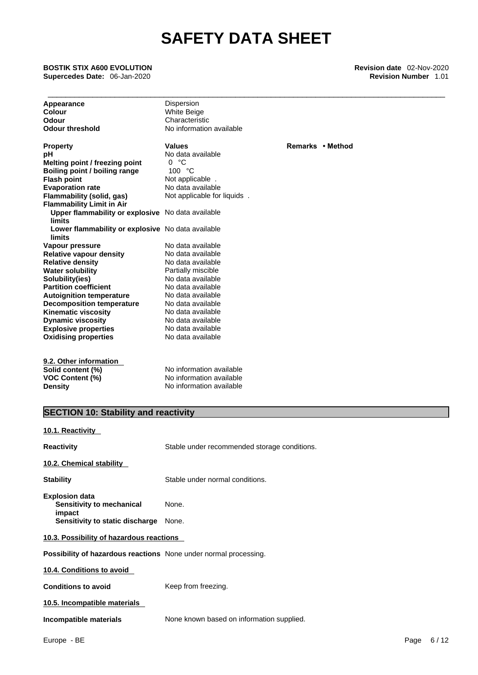\_\_\_\_\_\_\_\_\_\_\_\_\_\_\_\_\_\_\_\_\_\_\_\_\_\_\_\_\_\_\_\_\_\_\_\_\_\_\_\_\_\_\_\_\_\_\_\_\_\_\_\_\_\_\_\_\_\_\_\_\_\_\_\_\_\_\_\_\_\_\_\_\_\_\_\_\_\_\_\_\_\_\_\_\_\_\_\_\_ **BOSTIK STIX A600 EVOLUTION Revision date** 02-Nov-2020 **Supercedes Date:** 06-Jan-2020 **Revision Number** 1.01

| Appearance                                                       | Dispersion                                   |                  |
|------------------------------------------------------------------|----------------------------------------------|------------------|
| <b>Colour</b>                                                    | <b>White Beige</b>                           |                  |
| <b>Odour</b>                                                     | Characteristic                               |                  |
| <b>Odour threshold</b>                                           | No information available                     |                  |
| <b>Property</b>                                                  | <b>Values</b>                                | Remarks • Method |
| рH                                                               | No data available                            |                  |
| Melting point / freezing point                                   | 0 °C                                         |                  |
| Boiling point / boiling range                                    | 100 °C                                       |                  |
| <b>Flash point</b>                                               | Not applicable.                              |                  |
| <b>Evaporation rate</b>                                          | No data available                            |                  |
| <b>Flammability (solid, gas)</b>                                 | Not applicable for liquids.                  |                  |
| <b>Flammability Limit in Air</b>                                 |                                              |                  |
| Upper flammability or explosive No data available<br>limits      |                                              |                  |
| Lower flammability or explosive No data available<br>limits      |                                              |                  |
| Vapour pressure                                                  | No data available                            |                  |
| <b>Relative vapour density</b>                                   | No data available                            |                  |
| <b>Relative density</b>                                          | No data available                            |                  |
| <b>Water solubility</b>                                          | Partially miscible                           |                  |
| Solubility(ies)                                                  | No data available                            |                  |
| <b>Partition coefficient</b>                                     | No data available                            |                  |
| <b>Autoignition temperature</b>                                  | No data available                            |                  |
| <b>Decomposition temperature</b>                                 | No data available                            |                  |
| <b>Kinematic viscosity</b>                                       | No data available                            |                  |
| <b>Dynamic viscosity</b>                                         | No data available                            |                  |
| <b>Explosive properties</b>                                      | No data available                            |                  |
| <b>Oxidising properties</b>                                      | No data available                            |                  |
| 9.2. Other information                                           |                                              |                  |
| Solid content (%)                                                | No information available                     |                  |
| <b>VOC Content (%)</b>                                           | No information available                     |                  |
| <b>Density</b>                                                   | No information available                     |                  |
|                                                                  |                                              |                  |
| <b>SECTION 10: Stability and reactivity</b>                      |                                              |                  |
| 10.1. Reactivity                                                 |                                              |                  |
| <b>Reactivity</b>                                                | Stable under recommended storage conditions. |                  |
| 10.2. Chemical stability                                         |                                              |                  |
| <b>Stability</b>                                                 | Stable under normal conditions.              |                  |
| <b>Explosion data</b><br>Sensitivity to mechanical<br>impact     | None.                                        |                  |
| Sensitivity to static discharge                                  | None.                                        |                  |
| 10.3. Possibility of hazardous reactions                         |                                              |                  |
| Possibility of hazardous reactions None under normal processing. |                                              |                  |
| 10.4 Conditions to avoid                                         |                                              |                  |

**10.4. Conditions to avoid Conditions to avoid** Keep from freezing. **10.5. Incompatible materials**

**Incompatible materials** None known based on information supplied.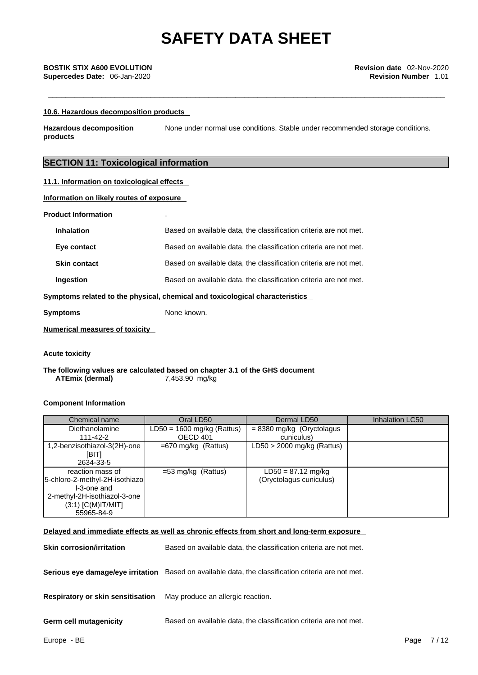#### **10.6. Hazardous decomposition products**

**Hazardous decomposition products**  None under normal use conditions. Stable under recommended storage conditions.

### **SECTION 11: Toxicological information**

#### **11.1. Information on toxicological effects**

#### **Information on likely routes of exposure**

| <b>Product Information</b> |  |
|----------------------------|--|
|----------------------------|--|

|                     | mptomo related to the physical, ebemiesl and texicological ebergeteriation |
|---------------------|----------------------------------------------------------------------------|
| <b>Ingestion</b>    | Based on available data, the classification criteria are not met.          |
| <b>Skin contact</b> | Based on available data, the classification criteria are not met.          |
| Eye contact         | Based on available data, the classification criteria are not met.          |
| <b>Inhalation</b>   | Based on available data, the classification criteria are not met.          |

#### **Symptoms related to the physical, chemical and toxicological characteristics**

**Symptoms** None known.

#### **Numerical measures of toxicity**

#### **Acute toxicity**

**The following values are calculated based on chapter 3.1 of the GHS document ATEmix (dermal)**7,453.90 mg/kg

#### **Component Information**

| Chemical name                  | Oral LD50                    | Dermal LD50                  | Inhalation LC50 |
|--------------------------------|------------------------------|------------------------------|-----------------|
| <b>Diethanolamine</b>          | $LD50 = 1600$ mg/kg (Rattus) | $= 8380$ mg/kg (Oryctolagus  |                 |
| $111 - 42 - 2$                 | OECD 401                     | cuniculus)                   |                 |
| 1,2-benzisothiazol-3(2H)-one   | $=670$ mg/kg (Rattus)        | $LD50 > 2000$ mg/kg (Rattus) |                 |
| [BIT]                          |                              |                              |                 |
| 2634-33-5                      |                              |                              |                 |
| reaction mass of               | $=$ 53 mg/kg (Rattus)        | $LD50 = 87.12$ mg/kg         |                 |
| 5-chloro-2-methyl-2H-isothiazo |                              | (Oryctolagus cuniculus)      |                 |
| I-3-one and                    |                              |                              |                 |
| 2-methyl-2H-isothiazol-3-one   |                              |                              |                 |
| $(3:1)$ [C(M)IT/MIT]           |                              |                              |                 |
| 55965-84-9                     |                              |                              |                 |

#### **Delayed and immediate effects as well as chronic effects from short and long-term exposure**

**Skin corrosion/irritation** Based on available data, the classification criteria are not met.

**Serious eye damage/eye irritation** Based on available data, the classification criteria are not met.

**Respiratory or skin sensitisation** May produce an allergic reaction.

**Germ cell mutagenicity** Based on available data, the classification criteria are not met.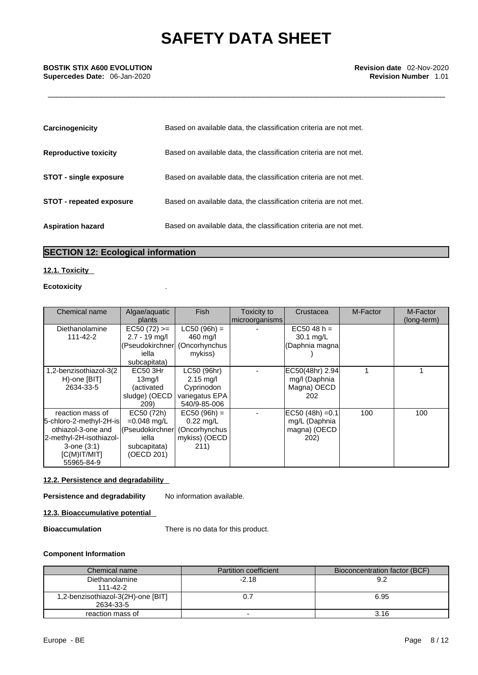| Carcinogenicity                 | Based on available data, the classification criteria are not met. |
|---------------------------------|-------------------------------------------------------------------|
| <b>Reproductive toxicity</b>    | Based on available data, the classification criteria are not met. |
| <b>STOT - single exposure</b>   | Based on available data, the classification criteria are not met. |
| <b>STOT - repeated exposure</b> | Based on available data, the classification criteria are not met. |
| <b>Aspiration hazard</b>        | Based on available data, the classification criteria are not met. |

### **SECTION 12: Ecological information**

#### **12.1. Toxicity**

#### **Ecotoxicity** .

| Chemical name           | Algae/aquatic       | <b>Fish</b>         | Toxicity to    | Crustacea          | M-Factor | M-Factor    |  |
|-------------------------|---------------------|---------------------|----------------|--------------------|----------|-------------|--|
|                         | plants              |                     | microorganisms |                    |          | (long-term) |  |
| Diethanolamine          | $EC50 (72) >=$      | $LC50 (96h) =$      |                | $EC5048 h =$       |          |             |  |
| 111-42-2                | $2.7 - 19$ mg/l     | 460 ma/l            |                | 30.1 mg/L          |          |             |  |
|                         | (Pseudokirchner     | (Oncorhynchus       |                | (Daphnia magna     |          |             |  |
|                         | iella               | mykiss)             |                |                    |          |             |  |
|                         | subcapitata)        |                     |                |                    |          |             |  |
| 1,2-benzisothiazol-3(2  | EC50 3Hr            | LC50 (96hr)         |                | EC50(48hr) 2.94    |          |             |  |
| H)-one [BIT]            | 13 <sub>mq</sub> /l | $2.15 \text{ mg/l}$ |                | mg/I (Daphnia      |          |             |  |
| 2634-33-5               | (activated          | Cyprinodon          |                | Magna) OECD        |          |             |  |
|                         | sludge) (OECD       | variegatus EPA      |                | 202                |          |             |  |
|                         | 209)                | 540/9-85-006        |                |                    |          |             |  |
| reaction mass of        | EC50 (72h)          | $EC50 (96h) =$      |                | $EC50 (48h) = 0.1$ | 100      | 100         |  |
| 5-chloro-2-methyl-2H-is | $=0.048$ mg/L       | $0.22$ mg/L         |                | mg/L (Daphnia      |          |             |  |
| othiazol-3-one and      | l(Pseudokirchner    | (Oncorhynchus       |                | magna) (OECD       |          |             |  |
| 2-methyl-2H-isothiazol- | iella               | mykiss) (OECD       |                | 202)               |          |             |  |
| $3$ -one $(3:1)$        | subcapitata)        | 211)                |                |                    |          |             |  |
| IC(M)IT/MIT             | (OECD 201)          |                     |                |                    |          |             |  |
| 55965-84-9              |                     |                     |                |                    |          |             |  |

### **12.2. Persistence and degradability**

#### **Persistence and degradability** No information available.

#### **12.3. Bioaccumulative potential**

**Bioaccumulation** There is no data for this product.

#### **Component Information**

| Chemical name                      | <b>Partition coefficient</b> | Bioconcentration factor (BCF) |
|------------------------------------|------------------------------|-------------------------------|
| Diethanolamine                     | $-2.18$                      | 9.2                           |
| 111-42-2                           |                              |                               |
| 1,2-benzisothiazol-3(2H)-one [BIT] |                              | 6.95                          |
| 2634-33-5                          |                              |                               |
| reaction mass of                   | -                            | 3.16                          |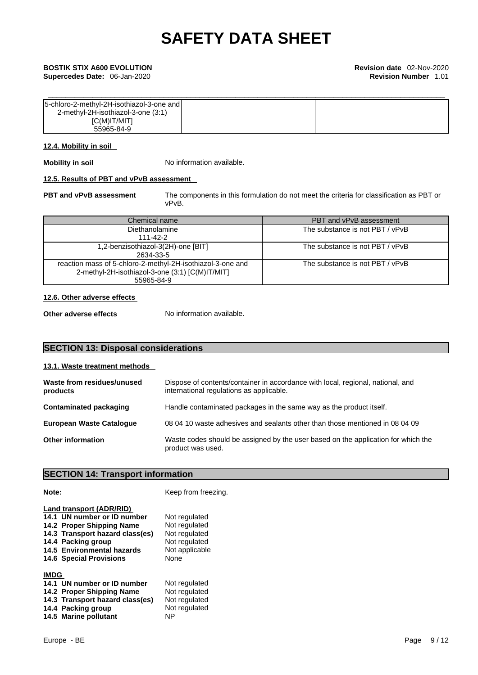**Supercedes Date:** 06-Jan-2020 **Revision Number** 1.01

| [5-chloro-2-methyl-2H-isothiazol-3-one and] |  |
|---------------------------------------------|--|
| 2-methyl-2H-isothiazol-3-one (3:1)          |  |
| IC(M)IT/MIT                                 |  |
| 55965-84-9                                  |  |

#### **12.4. Mobility in soil**

**Mobility in soil** No information available.

#### **12.5. Results of PBT and vPvB assessment**

**PBT and vPvB assessment** The components in this formulation do not meet the criteria for classification as PBT or vPvB.

| Chemical name                                                                                                               | PBT and vPvB assessment         |
|-----------------------------------------------------------------------------------------------------------------------------|---------------------------------|
| Diethanolamine                                                                                                              | The substance is not PBT / vPvB |
| 111-42-2                                                                                                                    |                                 |
| 1,2-benzisothiazol-3(2H)-one [BIT]<br>2634-33-5                                                                             | The substance is not PBT / vPvB |
| reaction mass of 5-chloro-2-methyl-2H-isothiazol-3-one and<br>2-methyl-2H-isothiazol-3-one (3:1) [C(M)IT/MIT]<br>55965-84-9 | The substance is not PBT / vPvB |

#### **12.6. Other adverse effects**

**Other adverse effects** No information available.

### **SECTION 13: Disposal considerations**

### **13.1. Waste treatment methods Waste from residues/unused products**  Dispose of contents/container in accordance with local, regional, national, and international regulations as applicable. **Contaminated packaging** Handle contaminated packages in the same way as the product itself. **European Waste Catalogue** 08 04 10 waste adhesives and sealants other than those mentioned in 08 04 09 **Other information** Waste codes should be assigned by the user based on the application for which the product was used.

#### **SECTION 14: Transport information**

#### **Note: Note: Keep from freezing. Land transport (ADR/RID)** 14.1 UN number or ID number Not regulated 14.2 Proper Shipping Name Not regulated 14.3 Transport hazard class(es) Not regulated **14.4 Packing group** Not regulated **14.5 Environmental hazards 14.6 Special Provisions** None **IMDG 14.1 UN number or ID number** Not regulated 14.2 Proper Shipping Name Not regulated **14.2 Proper Shipping Name** 14.3 Transport hazard class(es) Not regulated **14.4 Packing group Mot regulated 14.5 Marine pollutant** NP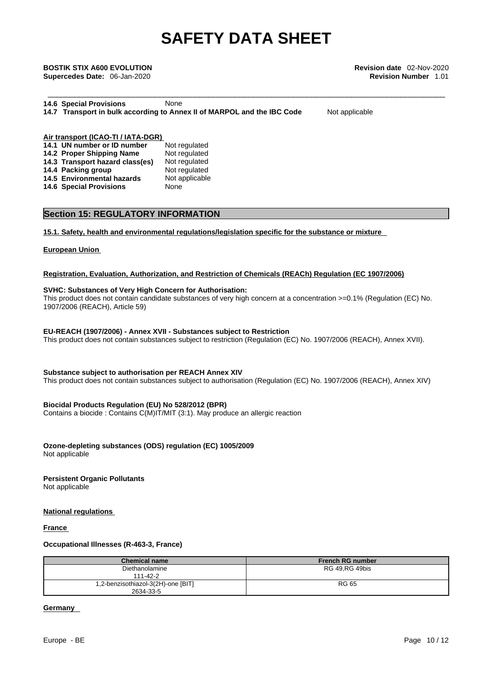\_\_\_\_\_\_\_\_\_\_\_\_\_\_\_\_\_\_\_\_\_\_\_\_\_\_\_\_\_\_\_\_\_\_\_\_\_\_\_\_\_\_\_\_\_\_\_\_\_\_\_\_\_\_\_\_\_\_\_\_\_\_\_\_\_\_\_\_\_\_\_\_\_\_\_\_\_\_\_\_\_\_\_\_\_\_\_\_\_ **BOSTIK STIX A600 EVOLUTION Revision date** 02-Nov-2020 **Supercedes Date:** 06-Jan-2020 **Revision Number** 1.01

| <b>14.6 Special Provisions</b> | None                                                                    |  |
|--------------------------------|-------------------------------------------------------------------------|--|
|                                | 14.7 Transport in bulk according to Annex II of MARPOL and the IBC Code |  |

**Not applicable** 

**Air transport (ICAO-TI / IATA-DGR)**

| 14.1 UN number or ID number       | Not regulated  |
|-----------------------------------|----------------|
| 14.2 Proper Shipping Name         | Not regulated  |
| 14.3 Transport hazard class(es)   | Not regulated  |
| 14.4 Packing group                | Not regulated  |
| <b>14.5 Environmental hazards</b> | Not applicable |
| <b>14.6 Special Provisions</b>    | None           |
|                                   |                |

### **Section 15: REGULATORY INFORMATION**

#### **15.1. Safety, health and environmental regulations/legislation specific for the substance or mixture**

#### **European Union**

#### **Registration, Evaluation, Authorization, and Restriction of Chemicals (REACh) Regulation (EC 1907/2006)**

#### **SVHC: Substances of Very High Concern for Authorisation:**

This product does not contain candidate substances of very high concern at a concentration >=0.1% (Regulation (EC) No. 1907/2006 (REACH), Article 59)

#### **EU-REACH (1907/2006) - Annex XVII - Substances subject to Restriction**

This product does not contain substances subject to restriction (Regulation (EC) No. 1907/2006 (REACH), Annex XVII).

#### **Substance subject to authorisation per REACH Annex XIV**

This product does not contain substances subject to authorisation (Regulation (EC) No. 1907/2006 (REACH), Annex XIV)

#### **Biocidal Products Regulation (EU) No 528/2012 (BPR)**

Contains a biocide : Contains C(M)IT/MIT (3:1). May produce an allergic reaction

#### **Ozone-depleting substances (ODS) regulation (EC) 1005/2009**

Not applicable

### **Persistent Organic Pollutants**

Not applicable

#### **National regulations**

#### **France**

#### **Occupational Illnesses (R-463-3, France)**

| <b>Chemical name</b>               | <b>French RG number</b> |
|------------------------------------|-------------------------|
| Diethanolamine                     | RG 49.RG 49bis          |
| 111-42-2                           |                         |
| 1,2-benzisothiazol-3(2H)-one [BIT] | RG 65                   |
| 2634-33-5                          |                         |

#### **Germany**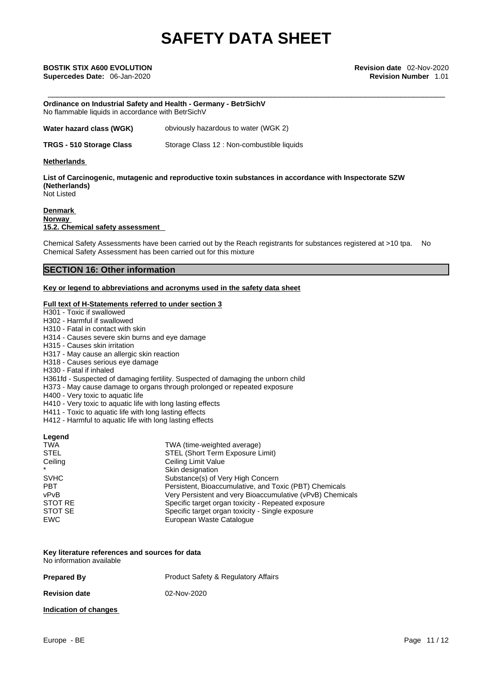**Supercedes Date:** 06-Jan-2020 **Revision Number** 1.01

**Ordinance on Industrial Safety and Health - Germany - BetrSichV** No flammable liquids in accordance with BetrSichV

**Water hazard class (WGK)** obviously hazardous to water (WGK 2)

**TRGS - 510 Storage Class** Storage Class 12 : Non-combustible liquids

#### **Netherlands**

**List of Carcinogenic, mutagenic and reproductive toxin substances in accordance with Inspectorate SZW (Netherlands)** Not Listed

#### **Denmark Norway 15.2. Chemical safety assessment**

Chemical Safety Assessments have been carried out by the Reach registrants for substances registered at >10 tpa. No Chemical Safety Assessment has been carried out for this mixture

#### **SECTION 16: Other information**

#### **Key or legend to abbreviations and acronyms used in the safety data sheet**

#### **Full text of H-Statements referred to under section 3**

H301 - Toxic if swallowed

- H302 Harmful if swallowed
- H310 Fatal in contact with skin
- H314 Causes severe skin burns and eye damage
- H315 Causes skin irritation
- H317 May cause an allergic skin reaction
- H318 Causes serious eye damage
- H330 Fatal if inhaled

H361fd - Suspected of damaging fertility. Suspected of damaging the unborn child

H373 - May cause damage to organs through prolonged or repeated exposure

- H400 Very toxic to aquatic life
- H410 Very toxic to aquatic life with long lasting effects
- H411 Toxic to aquatic life with long lasting effects
- H412 Harmful to aquatic life with long lasting effects

#### **Legend**

| TWA (time-weighted average)                               |
|-----------------------------------------------------------|
| STEL (Short Term Exposure Limit)                          |
| Ceiling Limit Value                                       |
| Skin designation                                          |
| Substance(s) of Very High Concern                         |
| Persistent, Bioaccumulative, and Toxic (PBT) Chemicals    |
| Very Persistent and very Bioaccumulative (vPvB) Chemicals |
| Specific target organ toxicity - Repeated exposure        |
| Specific target organ toxicity - Single exposure          |
| European Waste Catalogue                                  |
|                                                           |

#### **Key literature references and sources for data** No information available

**Prepared By Product Safety & Regulatory Affairs Revision date** 02-Nov-2020

#### **Indication of changes**